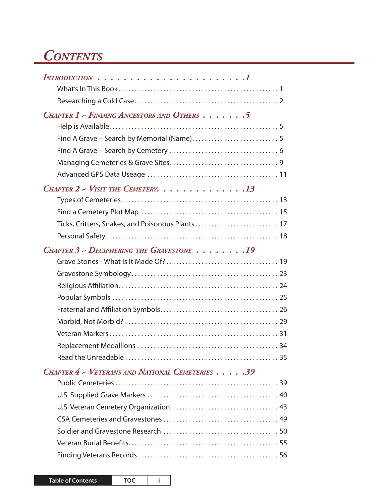## *Contents*

| $INTRODUCTION \ldots \ldots \ldots \ldots \ldots \ldots \ldots 1$ |
|-------------------------------------------------------------------|
|                                                                   |
|                                                                   |
| CHAPTER 1 - FINDING ANCESTORS AND OTHERS 5                        |
|                                                                   |
|                                                                   |
|                                                                   |
|                                                                   |
|                                                                   |
| CHAPTER $2$ - VISIT THE CEMETERY. 13                              |
|                                                                   |
|                                                                   |
|                                                                   |
|                                                                   |
| CHAPTER 3 ~ DECIPHERING THE GRAVESTONE 19                         |
|                                                                   |
|                                                                   |
|                                                                   |
|                                                                   |
|                                                                   |
|                                                                   |
|                                                                   |
|                                                                   |
|                                                                   |
| Read the Unreadable<br>. 35                                       |
| CHAPTER 4 ~ VETERANS AND NATIONAL CEMETERIES 39                   |
|                                                                   |
|                                                                   |
|                                                                   |
|                                                                   |
|                                                                   |
|                                                                   |